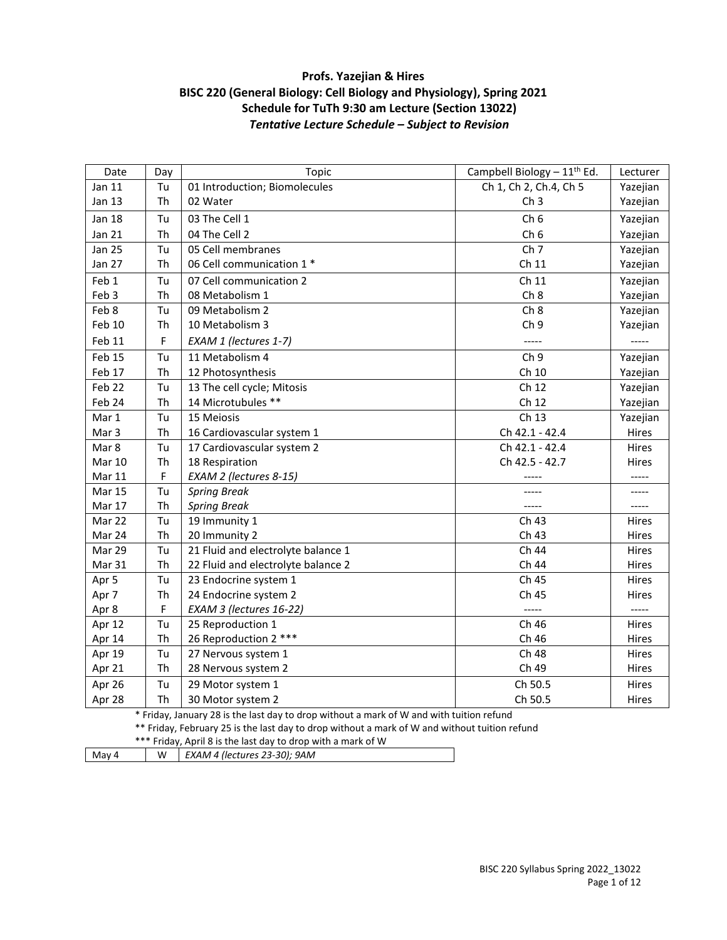# **Profs. Yazejian & Hires BISC 220 (General Biology: Cell Biology and Physiology), Spring 2021 Schedule for TuTh 9:30 am Lecture (Section 13022)** *Tentative Lecture Schedule – Subject to Revision*

| Date              | Day | Topic                                                   | Campbell Biology $-11^{th}$ Ed. | Lecturer |
|-------------------|-----|---------------------------------------------------------|---------------------------------|----------|
| Jan 11            | Tu  | 01 Introduction; Biomolecules<br>Ch 1, Ch 2, Ch.4, Ch 5 |                                 | Yazejian |
| Jan 13            | Th  | 02 Water<br>Ch <sub>3</sub>                             |                                 | Yazejian |
| Jan 18            | Tu  | 03 The Cell 1                                           | Ch <sub>6</sub>                 | Yazejian |
| Jan 21            | Th  | 04 The Cell 2                                           | Ch <sub>6</sub>                 | Yazejian |
| <b>Jan 25</b>     | Tu  | Ch <sub>7</sub><br>05 Cell membranes                    |                                 | Yazejian |
| <b>Jan 27</b>     | Th  | 06 Cell communication 1 *                               | Ch 11                           | Yazejian |
| Feb 1             | Tu  | 07 Cell communication 2                                 | Ch 11                           | Yazejian |
| Feb 3             | Th  | 08 Metabolism 1                                         | Ch <sub>8</sub>                 | Yazejian |
| Feb 8             | Tu  | 09 Metabolism 2                                         | Ch <sub>8</sub>                 | Yazejian |
| Feb 10            | Th  | 10 Metabolism 3                                         | Ch <sub>9</sub>                 | Yazejian |
| Feb 11            | F   | EXAM 1 (lectures 1-7)                                   | -----                           |          |
| Feb 15            | Tu  | 11 Metabolism 4                                         | Ch <sub>9</sub>                 | Yazejian |
| Feb 17            | Th  | 12 Photosynthesis                                       | Ch 10                           | Yazejian |
| Feb <sub>22</sub> | Tu  | 13 The cell cycle; Mitosis                              | Ch 12                           | Yazejian |
| Feb 24            | Th  | 14 Microtubules **                                      | Ch 12                           | Yazejian |
| Mar 1             | Tu  | 15 Meiosis                                              | Ch 13                           | Yazejian |
| Mar 3             | Th  | 16 Cardiovascular system 1                              | Ch 42.1 - 42.4                  | Hires    |
| Mar 8             | Tu  | 17 Cardiovascular system 2                              | Ch 42.1 - 42.4                  | Hires    |
| <b>Mar 10</b>     | Th  | Ch 42.5 - 42.7<br>18 Respiration                        |                                 | Hires    |
| Mar 11            | F   | EXAM 2 (lectures 8-15)<br>-----                         |                                 | -----    |
| <b>Mar 15</b>     | Tu  | <b>Spring Break</b>                                     |                                 |          |
| Mar 17            | Th  | <b>Spring Break</b>                                     | -----                           | -----    |
| Mar 22            | Tu  | 19 Immunity 1                                           | Ch 43                           | Hires    |
| Mar 24            | Th  | 20 Immunity 2                                           | Ch 43                           | Hires    |
| Mar 29            | Tu  | 21 Fluid and electrolyte balance 1                      | Ch 44                           | Hires    |
| Mar 31            | Th  | 22 Fluid and electrolyte balance 2                      | Ch 44                           | Hires    |
| Apr 5             | Tu  | 23 Endocrine system 1                                   | Ch 45                           | Hires    |
| Apr 7             | Th  | 24 Endocrine system 2                                   | Ch 45                           | Hires    |
| Apr 8             | F   | EXAM 3 (lectures 16-22)                                 | -----                           |          |
| Apr 12            | Tu  | 25 Reproduction 1                                       | Ch 46                           | Hires    |
| Apr 14            | Th  | 26 Reproduction 2 ***                                   | Ch 46                           | Hires    |
| Apr 19            | Tu  | 27 Nervous system 1                                     | Ch 48                           | Hires    |
| Apr 21            | Th  | 28 Nervous system 2                                     | Ch 49                           | Hires    |
| Apr 26            | Tu  | 29 Motor system 1                                       | Ch 50.5                         | Hires    |
| Apr 28            | Th  | 30 Motor system 2                                       | Ch 50.5                         | Hires    |

\* Friday, January 28 is the last day to drop without a mark of W and with tuition refund

\*\* Friday, February 25 is the last day to drop without a mark of W and without tuition refund

| *** Friday, April 8 is the last day to drop with a mark of W |  |
|--------------------------------------------------------------|--|
|--------------------------------------------------------------|--|

| May 4 |  | $EXAM 4$ (lectures 23-30); 9AM |
|-------|--|--------------------------------|
|-------|--|--------------------------------|

BISC 220 Syllabus Spring 2022\_13022 Page 1 of 12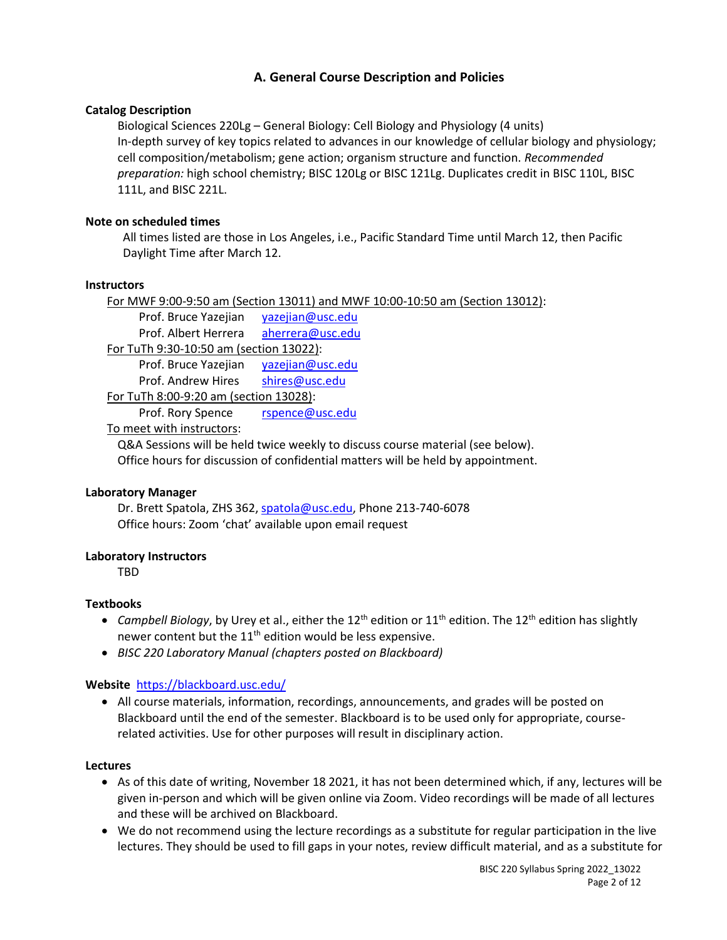# **A. General Course Description and Policies**

# **Catalog Description**

Biological Sciences 220Lg – General Biology: Cell Biology and Physiology (4 units) In-depth survey of key topics related to advances in our knowledge of cellular biology and physiology; cell composition/metabolism; gene action; organism structure and function. *Recommended preparation:* high school chemistry; BISC 120Lg or BISC 121Lg. Duplicates credit in BISC 110L, BISC 111L, and BISC 221L.

# **Note on scheduled times**

All times listed are those in Los Angeles, i.e., Pacific Standard Time until March 12, then Pacific Daylight Time after March 12.

# **Instructors**

For MWF 9:00-9:50 am (Section 13011) and MWF 10:00-10:50 am (Section 13012): Prof. Bruce Yazejian [yazejian@usc.edu](mailto:yazejian@usc.edu) Prof. Albert Herrera [aherrera@usc.edu](mailto:aherrera@usc.edu) For TuTh 9:30-10:50 am (section 13022): Prof. Bruce Yazejian [yazejian@usc.edu](mailto:yazejian@usc.edu) Prof. Andrew Hires [shires@usc.edu](mailto:shires@usc.edu) For TuTh 8:00-9:20 am (section 13028): Prof. Rory Spence [rspence@usc.edu](mailto:rspence@usc.edu) To meet with instructors:

Q&A Sessions will be held twice weekly to discuss course material (see below). Office hours for discussion of confidential matters will be held by appointment.

# **Laboratory Manager**

Dr. Brett Spatola, ZHS 362, [spatola@usc.edu,](mailto:spatola@usc.edu) Phone 213-740-6078 Office hours: Zoom 'chat' available upon email request

# **Laboratory Instructors**

**TRD** 

# **Textbooks**

- Campbell Biology, by Urey et al., either the 12<sup>th</sup> edition or 11<sup>th</sup> edition. The 12<sup>th</sup> edition has slightly newer content but the  $11<sup>th</sup>$  edition would be less expensive.
- *BISC 220 Laboratory Manual (chapters posted on Blackboard)*

# **Website** <https://blackboard.usc.edu/>

• All course materials, information, recordings, announcements, and grades will be posted on Blackboard until the end of the semester. Blackboard is to be used only for appropriate, courserelated activities. Use for other purposes will result in disciplinary action.

# **Lectures**

- As of this date of writing, November 18 2021, it has not been determined which, if any, lectures will be given in-person and which will be given online via Zoom. Video recordings will be made of all lectures and these will be archived on Blackboard.
- We do not recommend using the lecture recordings as a substitute for regular participation in the live lectures. They should be used to fill gaps in your notes, review difficult material, and as a substitute for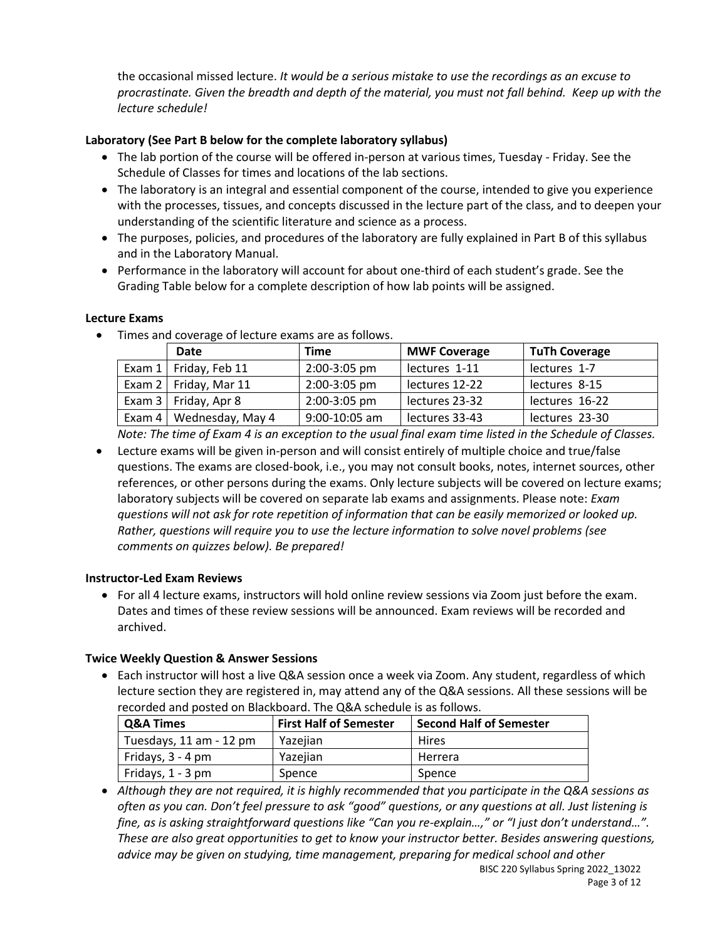the occasional missed lecture. *It would be a serious mistake to use the recordings as an excuse to procrastinate. Given the breadth and depth of the material, you must not fall behind. Keep up with the lecture schedule!*

# **Laboratory (See Part B below for the complete laboratory syllabus)**

- The lab portion of the course will be offered in-person at various times, Tuesday Friday. See the Schedule of Classes for times and locations of the lab sections.
- The laboratory is an integral and essential component of the course, intended to give you experience with the processes, tissues, and concepts discussed in the lecture part of the class, and to deepen your understanding of the scientific literature and science as a process.
- The purposes, policies, and procedures of the laboratory are fully explained in Part B of this syllabus and in the Laboratory Manual.
- Performance in the laboratory will account for about one-third of each student's grade. See the Grading Table below for a complete description of how lab points will be assigned.

# **Lecture Exams**

• Times and coverage of lecture exams are as follows.

| Date                         | Time              | <b>MWF Coverage</b> | <b>TuTh Coverage</b> |
|------------------------------|-------------------|---------------------|----------------------|
| Exam $1 \mid$ Friday, Feb 11 | 2:00-3:05 pm      | lectures 1-11       | lectures 1-7         |
| Exam $2 \mid$ Friday, Mar 11 | 2:00-3:05 pm      | lectures 12-22      | lectures 8-15        |
| Exam 3   Friday, Apr 8       | 2:00-3:05 pm      | lectures 23-32      | lectures 16-22       |
| Exam 4   Wednesday, May 4    | $9:00 - 10:05$ am | lectures 33-43      | lectures 23-30       |

*Note: The time of Exam 4 is an exception to the usual final exam time listed in the Schedule of Classes.*

• Lecture exams will be given in-person and will consist entirely of multiple choice and true/false questions. The exams are closed-book, i.e., you may not consult books, notes, internet sources, other references, or other persons during the exams. Only lecture subjects will be covered on lecture exams; laboratory subjects will be covered on separate lab exams and assignments. Please note: *Exam questions will not ask for rote repetition of information that can be easily memorized or looked up. Rather, questions will require you to use the lecture information to solve novel problems (see comments on quizzes below). Be prepared!*

# **Instructor-Led Exam Reviews**

• For all 4 lecture exams, instructors will hold online review sessions via Zoom just before the exam. Dates and times of these review sessions will be announced. Exam reviews will be recorded and archived.

# **Twice Weekly Question & Answer Sessions**

• Each instructor will host a live Q&A session once a week via Zoom. Any student, regardless of which lecture section they are registered in, may attend any of the Q&A sessions. All these sessions will be recorded and posted on Blackboard. The Q&A schedule is as follows.

| <b>Q&amp;A Times</b>    | <b>First Half of Semester</b> | <b>Second Half of Semester</b> |
|-------------------------|-------------------------------|--------------------------------|
| Tuesdays, 11 am - 12 pm | Yazejian                      | Hires                          |
| Fridays, 3 - 4 pm       | Yazejian                      | Herrera                        |
| Fridays, 1 - 3 pm       | Spence                        | Spence                         |

• *Although they are not required, it is highly recommended that you participate in the Q&A sessions as often as you can. Don't feel pressure to ask "good" questions, or any questions at all. Just listening is fine, as is asking straightforward questions like "Can you re-explain…," or "I just don't understand…". These are also great opportunities to get to know your instructor better. Besides answering questions, advice may be given on studying, time management, preparing for medical school and other*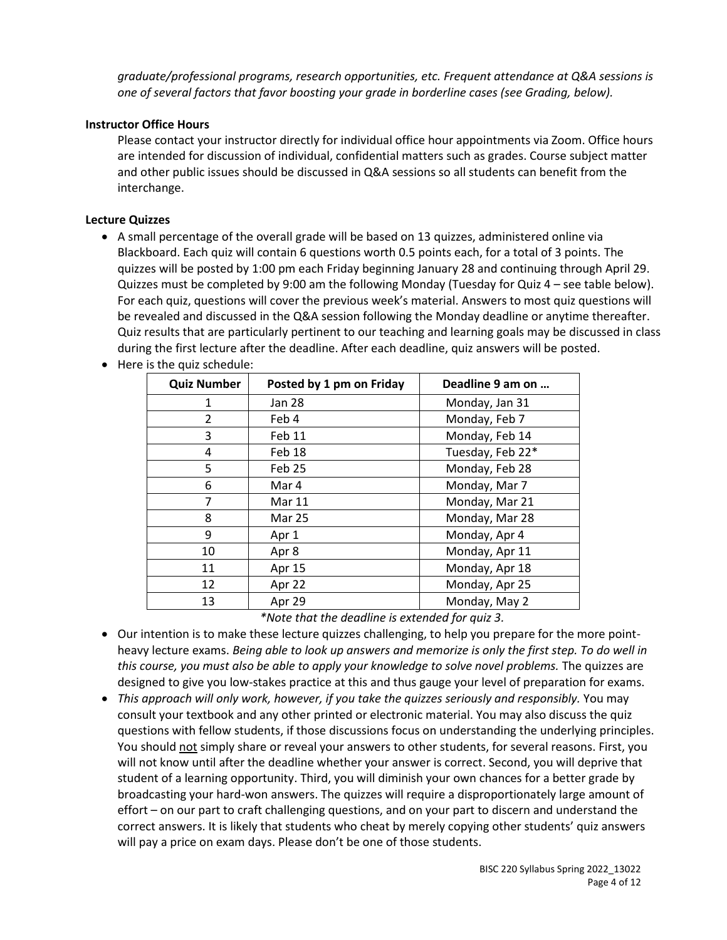*graduate/professional programs, research opportunities, etc. Frequent attendance at Q&A sessions is one of several factors that favor boosting your grade in borderline cases (see Grading, below).*

### **Instructor Office Hours**

Please contact your instructor directly for individual office hour appointments via Zoom. Office hours are intended for discussion of individual, confidential matters such as grades. Course subject matter and other public issues should be discussed in Q&A sessions so all students can benefit from the interchange.

### **Lecture Quizzes**

- A small percentage of the overall grade will be based on 13 quizzes, administered online via Blackboard. Each quiz will contain 6 questions worth 0.5 points each, for a total of 3 points. The quizzes will be posted by 1:00 pm each Friday beginning January 28 and continuing through April 29. Quizzes must be completed by 9:00 am the following Monday (Tuesday for Quiz 4 – see table below). For each quiz, questions will cover the previous week's material. Answers to most quiz questions will be revealed and discussed in the Q&A session following the Monday deadline or anytime thereafter. Quiz results that are particularly pertinent to our teaching and learning goals may be discussed in class during the first lecture after the deadline. After each deadline, quiz answers will be posted.
- Here is the quiz schedule:

| <b>Quiz Number</b> | Posted by 1 pm on Friday | Deadline 9 am on |
|--------------------|--------------------------|------------------|
| 1                  | <b>Jan 28</b>            | Monday, Jan 31   |
| $\overline{2}$     | Feb 4                    | Monday, Feb 7    |
| 3                  | Feb 11                   | Monday, Feb 14   |
| 4                  | Feb 18                   | Tuesday, Feb 22* |
| 5                  | Feb 25                   | Monday, Feb 28   |
| 6                  | Mar 4                    | Monday, Mar 7    |
| 7                  | <b>Mar 11</b>            | Monday, Mar 21   |
| 8                  | <b>Mar 25</b>            | Monday, Mar 28   |
| 9                  | Apr 1                    | Monday, Apr 4    |
| 10                 | Apr 8                    | Monday, Apr 11   |
| 11                 | Apr 15                   | Monday, Apr 18   |
| 12                 | Apr 22                   | Monday, Apr 25   |
| 13                 | Apr 29                   | Monday, May 2    |

*\*Note that the deadline is extended for quiz 3.*

- Our intention is to make these lecture quizzes challenging, to help you prepare for the more pointheavy lecture exams. *Being able to look up answers and memorize is only the first step. To do well in this course, you must also be able to apply your knowledge to solve novel problems.* The quizzes are designed to give you low-stakes practice at this and thus gauge your level of preparation for exams.
- *This approach will only work, however, if you take the quizzes seriously and responsibly.* You may consult your textbook and any other printed or electronic material. You may also discuss the quiz questions with fellow students, if those discussions focus on understanding the underlying principles. You should not simply share or reveal your answers to other students, for several reasons. First, you will not know until after the deadline whether your answer is correct. Second, you will deprive that student of a learning opportunity. Third, you will diminish your own chances for a better grade by broadcasting your hard-won answers. The quizzes will require a disproportionately large amount of effort – on our part to craft challenging questions, and on your part to discern and understand the correct answers. It is likely that students who cheat by merely copying other students' quiz answers will pay a price on exam days. Please don't be one of those students.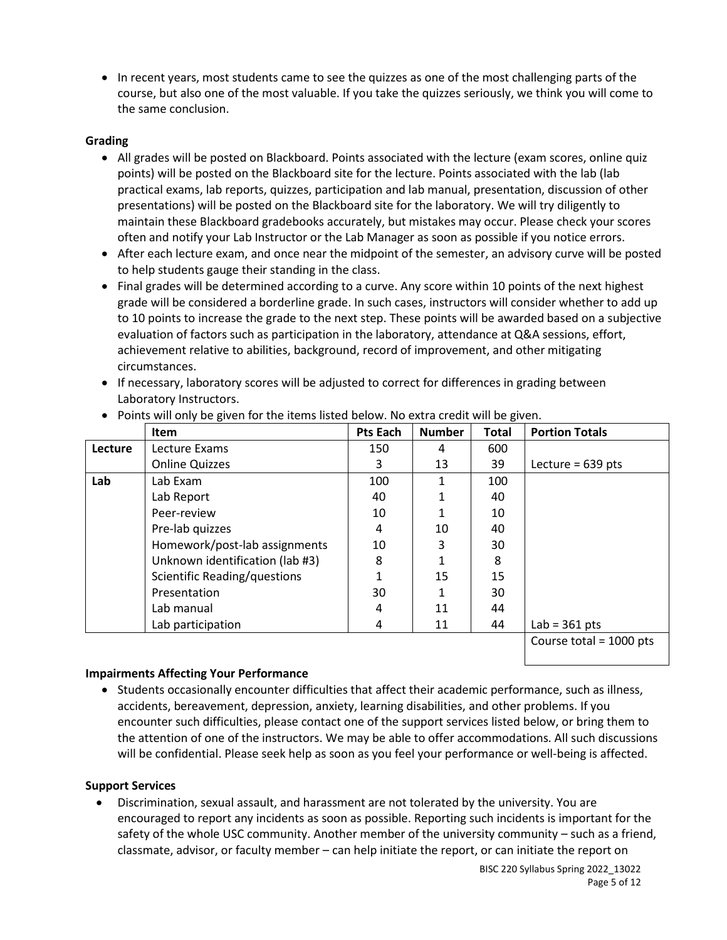• In recent years, most students came to see the quizzes as one of the most challenging parts of the course, but also one of the most valuable. If you take the quizzes seriously, we think you will come to the same conclusion.

# **Grading**

- All grades will be posted on Blackboard. Points associated with the lecture (exam scores, online quiz points) will be posted on the Blackboard site for the lecture. Points associated with the lab (lab practical exams, lab reports, quizzes, participation and lab manual, presentation, discussion of other presentations) will be posted on the Blackboard site for the laboratory. We will try diligently to maintain these Blackboard gradebooks accurately, but mistakes may occur. Please check your scores often and notify your Lab Instructor or the Lab Manager as soon as possible if you notice errors.
- After each lecture exam, and once near the midpoint of the semester, an advisory curve will be posted to help students gauge their standing in the class.
- Final grades will be determined according to a curve. Any score within 10 points of the next highest grade will be considered a borderline grade. In such cases, instructors will consider whether to add up to 10 points to increase the grade to the next step. These points will be awarded based on a subjective evaluation of factors such as participation in the laboratory, attendance at Q&A sessions, effort, achievement relative to abilities, background, record of improvement, and other mitigating circumstances.
- If necessary, laboratory scores will be adjusted to correct for differences in grading between Laboratory Instructors.

|         | <b>Item</b>                     | <b>Pts Each</b> | <b>Number</b> | <b>Total</b> | <b>Portion Totals</b>     |
|---------|---------------------------------|-----------------|---------------|--------------|---------------------------|
| Lecture | Lecture Exams                   | 150             | 4             | 600          |                           |
|         | <b>Online Quizzes</b>           | 3               | 13            | 39           | Lecture = $639$ pts       |
| Lab     | Lab Exam                        | 100             | 1             | 100          |                           |
|         | Lab Report                      | 40              |               | 40           |                           |
|         | Peer-review                     | 10              |               | 10           |                           |
|         | Pre-lab quizzes                 | 4               | 10            | 40           |                           |
|         | Homework/post-lab assignments   | 10              | 3             | 30           |                           |
|         | Unknown identification (lab #3) | 8               |               | 8            |                           |
|         | Scientific Reading/questions    |                 | 15            | 15           |                           |
|         | Presentation                    | 30              |               | 30           |                           |
|         | Lab manual                      | 4               | 11            | 44           |                           |
|         | Lab participation               | 4               | 11            | 44           | Lab = $361$ pts           |
|         |                                 |                 |               |              | Course total = $1000$ pts |

• Points will only be given for the items listed below. No extra credit will be given.

# **Impairments Affecting Your Performance**

• Students occasionally encounter difficulties that affect their academic performance, such as illness, accidents, bereavement, depression, anxiety, learning disabilities, and other problems. If you encounter such difficulties, please contact one of the support services listed below, or bring them to the attention of one of the instructors. We may be able to offer accommodations. All such discussions will be confidential. Please seek help as soon as you feel your performance or well-being is affected.

# **Support Services**

• Discrimination, sexual assault, and harassment are not tolerated by the university. You are encouraged to report any incidents as soon as possible. Reporting such incidents is important for the safety of the whole USC community. Another member of the university community – such as a friend, classmate, advisor, or faculty member – can help initiate the report, or can initiate the report on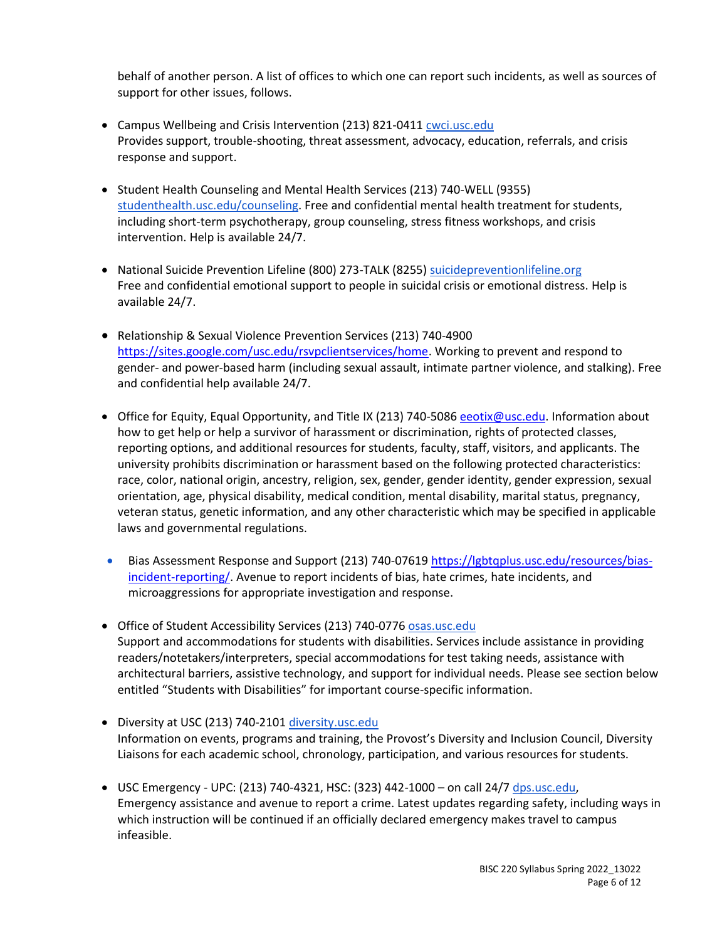behalf of another person. A list of offices to which one can report such incidents, as well as sources of support for other issues, follows.

- Campus Wellbeing and Crisis Intervention (213) 821-0411 cwci.usc.edu Provides support, trouble-shooting, threat assessment, advocacy, education, referrals, and crisis response and support[.](https://studentaffairs.usc.edu/ssa/)
- Student Health Counseling and Mental Health Services (213) 740-WELL (9355) [studenthealth.usc.edu/counseling.](https://engemannshc.usc.edu/counseling/) Free and confidential mental health treatment for students, including short-term psychotherapy, group counseling, stress fitness workshops, and crisis [int](https://engemannshc.usc.edu/counseling/)ervention. Help is available 24/7.
- National Suicide Prevention Lifeline (800) 273-TALK (8255) [suicidepreventionlifeline.org](http://www.suicidepreventionlifeline.org/) Free and confidential emotional support to people in suicidal crisis or emotional distress. Help is available 24/7.
- Relationship & Sexual Violence Prevention Services (213) 740-4900 [https://sites.google.com/usc.edu/rsvpclientservices/home.](https://sites.google.com/usc.edu/rsvpclientservices/home) Working to prevent and respond to gender- and power-based harm (including sexual assault, intimate partner violence, and stalking). Free and confidential help available 24/7.
- Office for Equity, Equal Opportunity, and Title IX (213) 740-5086 [eeotix@usc.edu.](mailto:eeotix@usc.edu) Information about how to get help or help a survivor of harassment or discrimination, rights of protected classes, reporting options, and additional resources for students, faculty, staff, visitors, and applicants. The university prohibits discrimination or harassment based on the following protected characteristics: race, color, national origin, ancestry, religion, sex, gender, gender identity, gender expression, sexual orientation, age, physical disability, medical condition, mental disability, marital status, pregnancy, veteran status, genetic information, and any other characteristic which may be specified in applicable laws and governmental regulation[s.](http://sarc.usc.edu/)
- Bias Assessment Response and Support (213) 740-07619 [https://lgbtqplus.usc.edu/resources/bias](https://lgbtqplus.usc.edu/resources/bias-incident-reporting/)[incident-reporting/.](https://lgbtqplus.usc.edu/resources/bias-incident-reporting/) Avenue to report incidents of bias, hate crimes, hate incidents, and microaggressions for appropriate investigation and response[.](https://studentaffairs.usc.edu/bias-assessment-response-support/)
- Office of Student Accessibility Services (213) 740-0776 [osas.usc.edu](http://dsp.usc.edu/) Support and accommodations for students with disabilities. Services include assistance in providing readers/notetakers/interpreters, special accommodations for test taking needs, assistance with architectural barriers, assistive technology, and support for individual needs. Please see section below entitled "Students with Disabilities" for important course-specific informatio[n.](http://dsp.usc.edu/)
- Diversity at USC (213) 740-2101 [diversity.usc.edu](https://diversity.usc.edu/) Information on events, programs and training, the Provost's Diversity and Inclusion Council, Diversity Liaisons for each academic school, chronology, participation, and various resources for students.
- USC Emergency UPC: (213) 740-4321, HSC: (323) 442-1000 on call 24/7 [dps.usc.edu,](http://dps.usc.edu/) Emergency assistance and avenue to report a crime. Latest updates regarding safety, including ways in which instruction will be continued if an officially declared emergency makes travel to campus infeasible.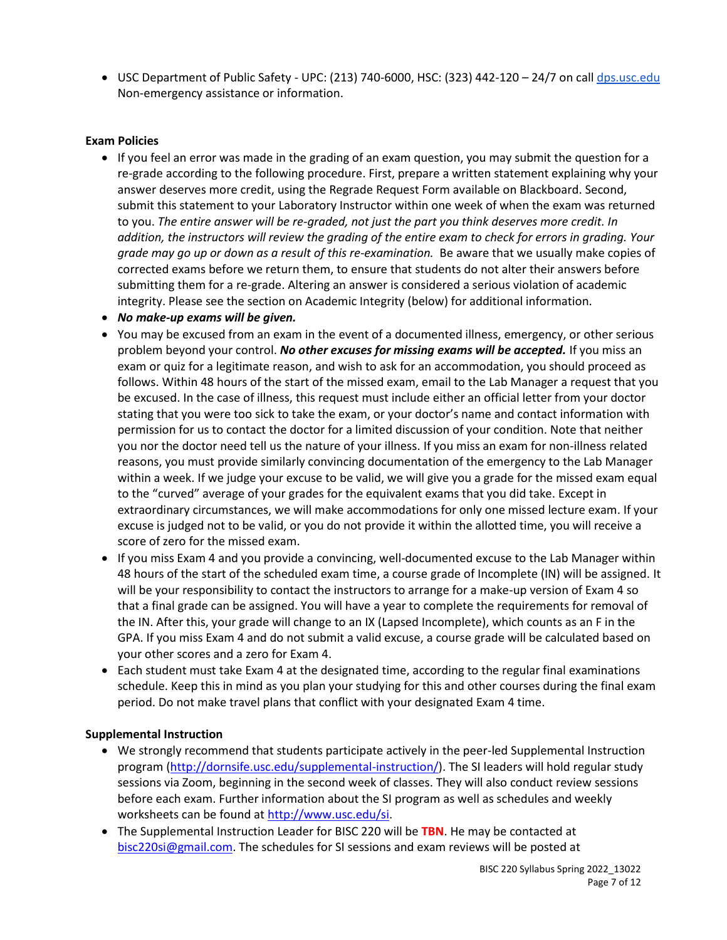• USC Department of Public Safety - UPC: (213) 740-6000, HSC: (323) 442-120 - 24/7 on cal[l dps.usc.edu](http://dps.usc.edu/) Non-emergency assistance or information.

# **Exam Policies**

- If you feel an error was made in the grading of an exam question, you may submit the question for a re-grade according to the following procedure. First, prepare a written statement explaining why your answer deserves more credit, using the Regrade Request Form available on Blackboard. Second, submit this statement to your Laboratory Instructor within one week of when the exam was returned to you. *The entire answer will be re-graded, not just the part you think deserves more credit. In addition, the instructors will review the grading of the entire exam to check for errors in grading. Your grade may go up or down as a result of this re-examination.* Be aware that we usually make copies of corrected exams before we return them, to ensure that students do not alter their answers before submitting them for a re-grade. Altering an answer is considered a serious violation of academic integrity. Please see the section on Academic Integrity (below) for additional information.
- *No make-up exams will be given.*
- You may be excused from an exam in the event of a documented illness, emergency, or other serious problem beyond your control. *No other excuses for missing exams will be accepted.* If you miss an exam or quiz for a legitimate reason, and wish to ask for an accommodation, you should proceed as follows. Within 48 hours of the start of the missed exam, email to the Lab Manager a request that you be excused. In the case of illness, this request must include either an official letter from your doctor stating that you were too sick to take the exam, or your doctor's name and contact information with permission for us to contact the doctor for a limited discussion of your condition. Note that neither you nor the doctor need tell us the nature of your illness. If you miss an exam for non-illness related reasons, you must provide similarly convincing documentation of the emergency to the Lab Manager within a week. If we judge your excuse to be valid, we will give you a grade for the missed exam equal to the "curved" average of your grades for the equivalent exams that you did take. Except in extraordinary circumstances, we will make accommodations for only one missed lecture exam. If your excuse is judged not to be valid, or you do not provide it within the allotted time, you will receive a score of zero for the missed exam.
- If you miss Exam 4 and you provide a convincing, well-documented excuse to the Lab Manager within 48 hours of the start of the scheduled exam time, a course grade of Incomplete (IN) will be assigned. It will be your responsibility to contact the instructors to arrange for a make-up version of Exam 4 so that a final grade can be assigned. You will have a year to complete the requirements for removal of the IN. After this, your grade will change to an IX (Lapsed Incomplete), which counts as an F in the GPA. If you miss Exam 4 and do not submit a valid excuse, a course grade will be calculated based on your other scores and a zero for Exam 4.
- Each student must take Exam 4 at the designated time, according to the regular final examinations schedule. Keep this in mind as you plan your studying for this and other courses during the final exam period. Do not make travel plans that conflict with your designated Exam 4 time.

# **Supplemental Instruction**

- We strongly recommend that students participate actively in the peer-led Supplemental Instruction program [\(http://dornsife.usc.edu/supplemental-instruction/\)](http://dornsife.usc.edu/supplemental-instruction/). The SI leaders will hold regular study sessions via Zoom, beginning in the second week of classes. They will also conduct review sessions before each exam. Further information about the SI program as well as schedules and weekly worksheets can be found at [http://www.usc.edu/si.](http://www.usc.edu/si)
- The Supplemental Instruction Leader for BISC 220 will be **TBN**. He may be contacted at [bisc220si@gmail.com.](mailto:bisc220si@gmail.com) The schedules for SI sessions and exam reviews will be posted at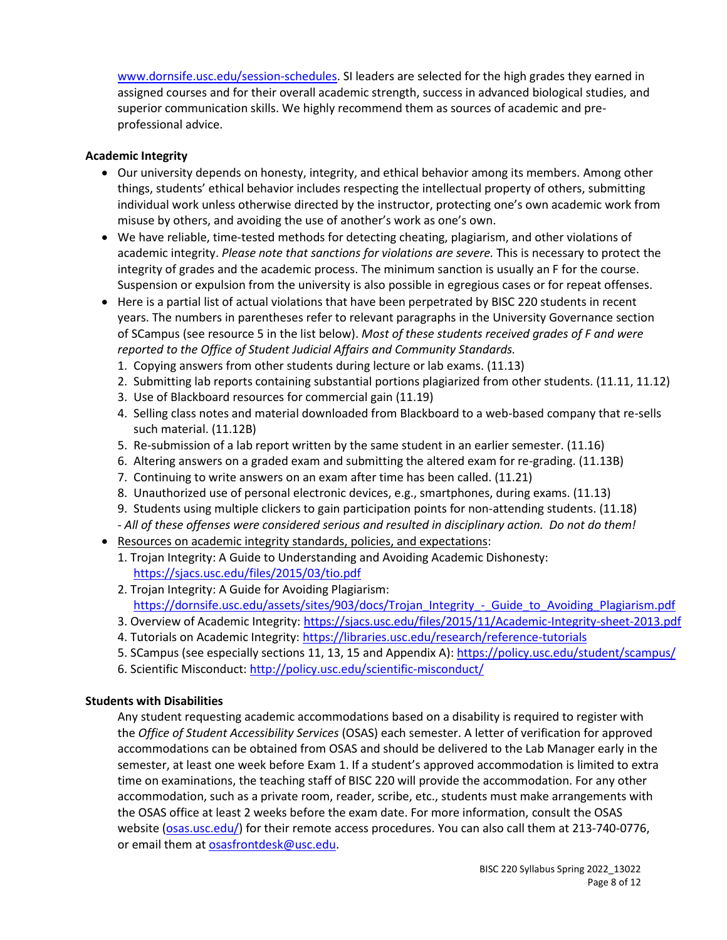[www.dornsife.usc.edu/session-schedules.](http://www.dornsife.usc.edu/session-schedules) SI leaders are selected for the high grades they earned in assigned courses and for their overall academic strength, success in advanced biological studies, and superior communication skills. We highly recommend them as sources of academic and preprofessional advice.

# **Academic Integrity**

- Our university depends on honesty, integrity, and ethical behavior among its members. Among other things, students' ethical behavior includes respecting the intellectual property of others, submitting individual work unless otherwise directed by the instructor, protecting one's own academic work from misuse by others, and avoiding the use of another's work as one's own.
- We have reliable, time-tested methods for detecting cheating, plagiarism, and other violations of academic integrity. *Please note that sanctions for violations are severe.* This is necessary to protect the integrity of grades and the academic process. The minimum sanction is usually an F for the course. Suspension or expulsion from the university is also possible in egregious cases or for repeat offenses.
- Here is a partial list of actual violations that have been perpetrated by BISC 220 students in recent years. The numbers in parentheses refer to relevant paragraphs in the University Governance section of SCampus (see resource 5 in the list below). *Most of these students received grades of F and were reported to the Office of Student Judicial Affairs and Community Standards.*
	- 1. Copying answers from other students during lecture or lab exams. (11.13)
	- 2. Submitting lab reports containing substantial portions plagiarized from other students. (11.11, 11.12)
	- 3. Use of Blackboard resources for commercial gain (11.19)
	- 4. Selling class notes and material downloaded from Blackboard to a web-based company that re-sells such material. (11.12B)
	- 5. Re-submission of a lab report written by the same student in an earlier semester. (11.16)
	- 6. Altering answers on a graded exam and submitting the altered exam for re-grading. (11.13B)
	- 7. Continuing to write answers on an exam after time has been called. (11.21)
	- 8. Unauthorized use of personal electronic devices, e.g., smartphones, during exams. (11.13)
	- 9. Students using multiple clickers to gain participation points for non-attending students. (11.18) *- All of these offenses were considered serious and resulted in disciplinary action. Do not do them!*
- Resources on academic integrity standards, policies, and expectations:
	- 1. Trojan Integrity: A Guide to Understanding and Avoiding Academic Dishonesty: <https://sjacs.usc.edu/files/2015/03/tio.pdf>
	- 2. Trojan Integrity: A Guide for Avoiding Plagiarism: [https://dornsife.usc.edu/assets/sites/903/docs/Trojan\\_Integrity\\_-\\_Guide\\_to\\_Avoiding\\_Plagiarism.pdf](https://dornsife.usc.edu/assets/sites/903/docs/Trojan_Integrity_-_Guide_to_Avoiding_Plagiarism.pdf)
	- 3. Overview of Academic Integrity[: https://sjacs.usc.edu/files/2015/11/Academic-Integrity-sheet-2013.pdf](https://sjacs.usc.edu/files/2015/11/Academic-Integrity-sheet-2013.pdf)
	- 4. Tutorials on Academic Integrity:<https://libraries.usc.edu/research/reference-tutorials>
	- 5. SCampus (see especially sections 11, 13, 15 and Appendix A): <https://policy.usc.edu/student/scampus/>
	- 6. Scientific Misconduct: <http://policy.usc.edu/scientific-misconduct/>

# **Students with Disabilities**

Any student requesting academic accommodations based on a disability is required to register with the *Office of Student Accessibility Services* (OSAS) each semester. A letter of verification for approved accommodations can be obtained from OSAS and should be delivered to the Lab Manager early in the semester, at least one week before Exam 1. If a student's approved accommodation is limited to extra time on examinations, the teaching staff of BISC 220 will provide the accommodation. For any other accommodation, such as a private room, reader, scribe, etc., students must make arrangements with the OSAS office at least 2 weeks before the exam date. For more information, consult the OSAS website [\(osas.usc.edu/\)](https://dsp.usc.edu/) for their remote access procedures. You can also call them at 213-740-0776, or email them at [osasfrontdesk@usc.edu.](mailto:osasfrontdesk@usc.edu)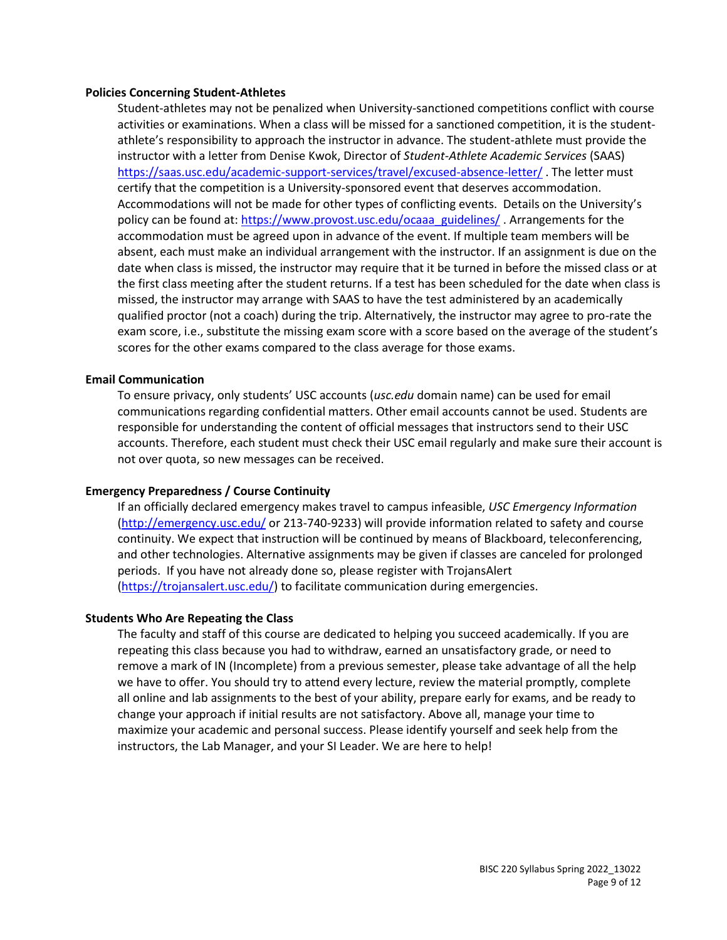#### **Policies Concerning Student-Athletes**

Student‐athletes may not be penalized when University‐sanctioned competitions conflict with course activities or examinations. When a class will be missed for a sanctioned competition, it is the student‐ athlete's responsibility to approach the instructor in advance. The student-athlete must provide the instructor with a letter from Denise Kwok, Director of *Student-Athlete Academic Services* (SAAS) <https://saas.usc.edu/academic-support-services/travel/excused-absence-letter/> . The letter must certify that the competition is a University-sponsored event that deserves accommodation. Accommodations will not be made for other types of conflicting events. Details on the University's policy can be found at: [https://www.provost.usc.edu/ocaaa\\_guidelines/](https://www.provost.usc.edu/ocaaa_guidelines/) . Arrangements for the accommodation must be agreed upon in advance of the event. If multiple team members will be absent, each must make an individual arrangement with the instructor. If an assignment is due on the date when class is missed, the instructor may require that it be turned in before the missed class or at the first class meeting after the student returns. If a test has been scheduled for the date when class is missed, the instructor may arrange with SAAS to have the test administered by an academically qualified proctor (not a coach) during the trip. Alternatively, the instructor may agree to pro-rate the exam score, i.e., substitute the missing exam score with a score based on the average of the student's scores for the other exams compared to the class average for those exams.

#### **Email Communication**

To ensure privacy, only students' USC accounts (*usc.edu* domain name) can be used for email communications regarding confidential matters. Other email accounts cannot be used. Students are responsible for understanding the content of official messages that instructors send to their USC accounts. Therefore, each student must check their USC email regularly and make sure their account is not over quota, so new messages can be received.

#### **Emergency Preparedness / Course Continuity**

If an officially declared emergency makes travel to campus infeasible, *USC Emergency Information* [\(http://emergency.usc.edu/](http://emergency.usc.edu/) or 213-740-9233) will provide information related to safety and course continuity. We expect that instruction will be continued by means of Blackboard, teleconferencing, and other technologies. Alternative assignments may be given if classes are canceled for prolonged periods. If you have not already done so, please register with TrojansAlert [\(https://trojansalert.usc.edu/\)](https://trojansalert.usc.edu/) to facilitate communication during emergencies.

#### **Students Who Are Repeating the Class**

The faculty and staff of this course are dedicated to helping you succeed academically. If you are repeating this class because you had to withdraw, earned an unsatisfactory grade, or need to remove a mark of IN (Incomplete) from a previous semester, please take advantage of all the help we have to offer. You should try to attend every lecture, review the material promptly, complete all online and lab assignments to the best of your ability, prepare early for exams, and be ready to change your approach if initial results are not satisfactory. Above all, manage your time to maximize your academic and personal success. Please identify yourself and seek help from the instructors, the Lab Manager, and your SI Leader. We are here to help!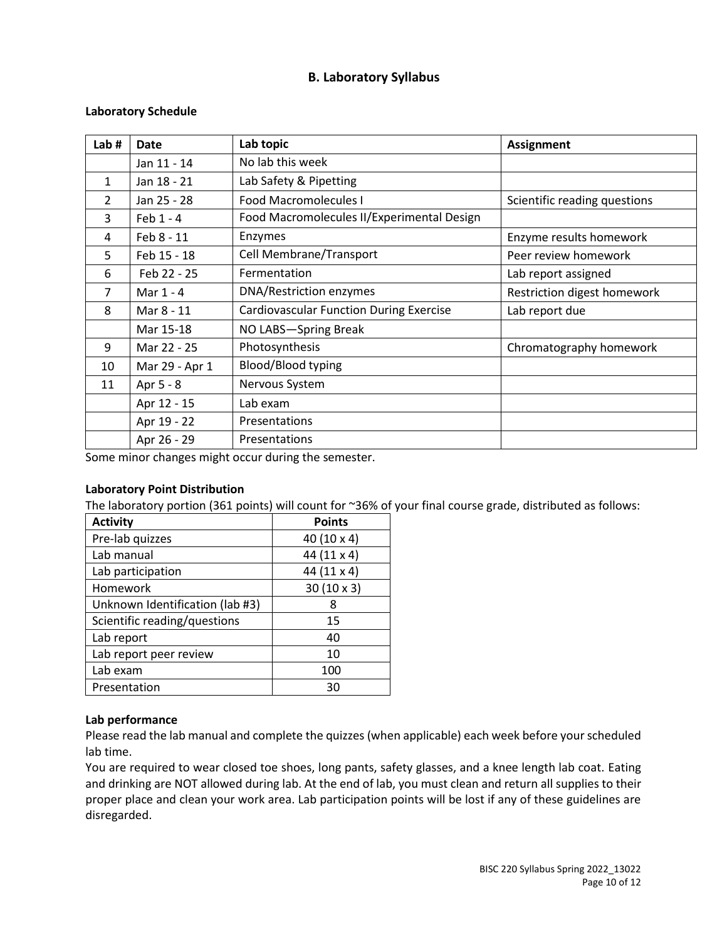# **B. Laboratory Syllabus**

# **Laboratory Schedule**

| Lab $#$        | <b>Date</b>    | Lab topic                                      | <b>Assignment</b>            |
|----------------|----------------|------------------------------------------------|------------------------------|
|                | Jan 11 - 14    | No lab this week                               |                              |
| $\mathbf{1}$   | Jan 18 - 21    | Lab Safety & Pipetting                         |                              |
| $\overline{2}$ | Jan 25 - 28    | <b>Food Macromolecules I</b>                   | Scientific reading questions |
| 3              | Feb $1 - 4$    | Food Macromolecules II/Experimental Design     |                              |
| 4              | Feb 8 - 11     | Enzymes                                        | Enzyme results homework      |
| 5              | Feb 15 - 18    | Cell Membrane/Transport                        | Peer review homework         |
| 6              | Feb 22 - 25    | Fermentation                                   | Lab report assigned          |
| 7              | Mar $1 - 4$    | DNA/Restriction enzymes                        | Restriction digest homework  |
| 8              | Mar 8 - 11     | <b>Cardiovascular Function During Exercise</b> | Lab report due               |
|                | Mar 15-18      | NO LABS-Spring Break                           |                              |
| 9              | Mar 22 - 25    | Photosynthesis                                 | Chromatography homework      |
| 10             | Mar 29 - Apr 1 | <b>Blood/Blood typing</b>                      |                              |
| 11             | Apr 5 - 8      | Nervous System                                 |                              |
|                | Apr 12 - 15    | Lab exam                                       |                              |
|                | Apr 19 - 22    | Presentations                                  |                              |
|                | Apr 26 - 29    | Presentations                                  |                              |

Some minor changes might occur during the semester.

# **Laboratory Point Distribution**

The laboratory portion (361 points) will count for ~36% of your final course grade, distributed as follows:

| <b>Activity</b>                 | <b>Points</b>     |
|---------------------------------|-------------------|
| Pre-lab quizzes                 | 40 (10 x 4)       |
| Lab manual                      | 44 (11 x 4)       |
| Lab participation               | 44 (11 x 4)       |
| Homework                        | $30(10 \times 3)$ |
| Unknown Identification (lab #3) | 8                 |
| Scientific reading/questions    | 15                |
| Lab report                      | 40                |
| Lab report peer review          | 10                |
| Lab exam                        | 100               |
| Presentation                    | 30                |

# **Lab performance**

Please read the lab manual and complete the quizzes (when applicable) each week before your scheduled lab time.

You are required to wear closed toe shoes, long pants, safety glasses, and a knee length lab coat. Eating and drinking are NOT allowed during lab. At the end of lab, you must clean and return all supplies to their proper place and clean your work area. Lab participation points will be lost if any of these guidelines are disregarded.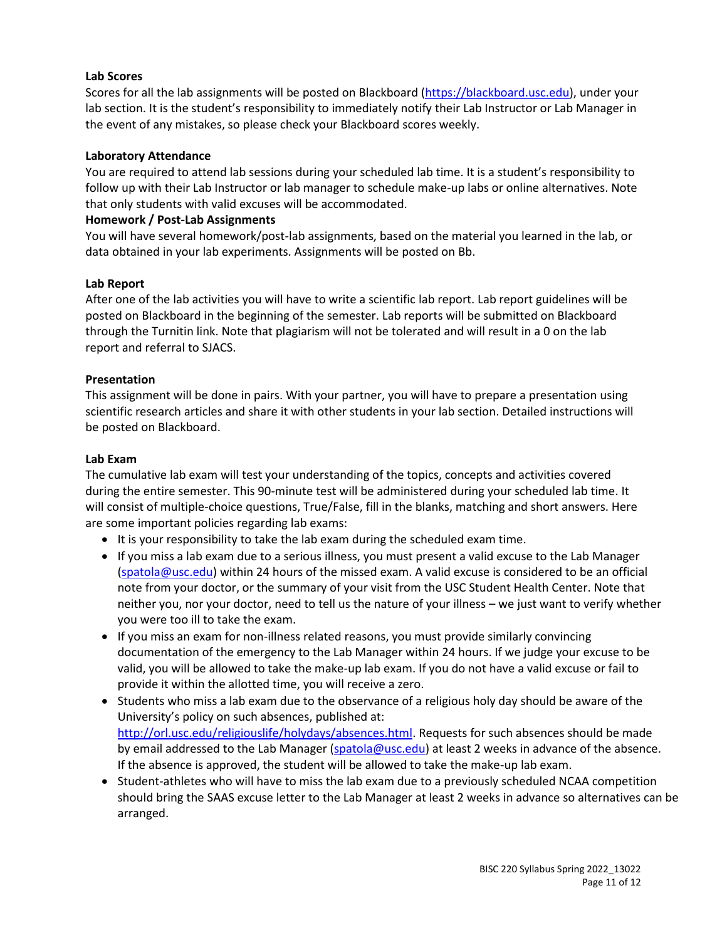# **Lab Scores**

Scores for all the lab assignments will be posted on Blackboard [\(https://blackboard.usc.edu\)](https://blackboard.usc.edu/), under your lab section. It is the student's responsibility to immediately notify their Lab Instructor or Lab Manager in the event of any mistakes, so please check your Blackboard scores weekly.

# **Laboratory Attendance**

You are required to attend lab sessions during your scheduled lab time. It is a student's responsibility to follow up with their Lab Instructor or lab manager to schedule make-up labs or online alternatives. Note that only students with valid excuses will be accommodated.

# **Homework / Post-Lab Assignments**

You will have several homework/post-lab assignments, based on the material you learned in the lab, or data obtained in your lab experiments. Assignments will be posted on Bb.

# **Lab Report**

After one of the lab activities you will have to write a scientific lab report. Lab report guidelines will be posted on Blackboard in the beginning of the semester. Lab reports will be submitted on Blackboard through the Turnitin link. Note that plagiarism will not be tolerated and will result in a 0 on the lab report and referral to SJACS.

# **Presentation**

This assignment will be done in pairs. With your partner, you will have to prepare a presentation using scientific research articles and share it with other students in your lab section. Detailed instructions will be posted on Blackboard.

# **Lab Exam**

The cumulative lab exam will test your understanding of the topics, concepts and activities covered during the entire semester. This 90-minute test will be administered during your scheduled lab time. It will consist of multiple-choice questions, True/False, fill in the blanks, matching and short answers. Here are some important policies regarding lab exams:

- It is your responsibility to take the lab exam during the scheduled exam time.
- If you miss a lab exam due to a serious illness, you must present a valid excuse to the Lab Manager [\(spatola@usc.edu\)](mailto:spatola@usc.edu) within 24 hours of the missed exam. A valid excuse is considered to be an official note from your doctor, or the summary of your visit from the USC Student Health Center. Note that neither you, nor your doctor, need to tell us the nature of your illness – we just want to verify whether you were too ill to take the exam.
- If you miss an exam for non-illness related reasons, you must provide similarly convincing documentation of the emergency to the Lab Manager within 24 hours. If we judge your excuse to be valid, you will be allowed to take the make-up lab exam. If you do not have a valid excuse or fail to provide it within the allotted time, you will receive a zero.
- Students who miss a lab exam due to the observance of a religious holy day should be aware of the University's policy on such absences, published at: [http://orl.usc.edu/religiouslife/holydays/absences.html.](http://orl.usc.edu/religiouslife/holydays/absences.html) Requests for such absences should be made by email addressed to the Lab Manager [\(spatola@usc.edu\)](mailto:spatola@usc.edu) at least 2 weeks in advance of the absence. If the absence is approved, the student will be allowed to take the make-up lab exam.
- Student-athletes who will have to miss the lab exam due to a previously scheduled NCAA competition should bring the SAAS excuse letter to the Lab Manager at least 2 weeks in advance so alternatives can be arranged.